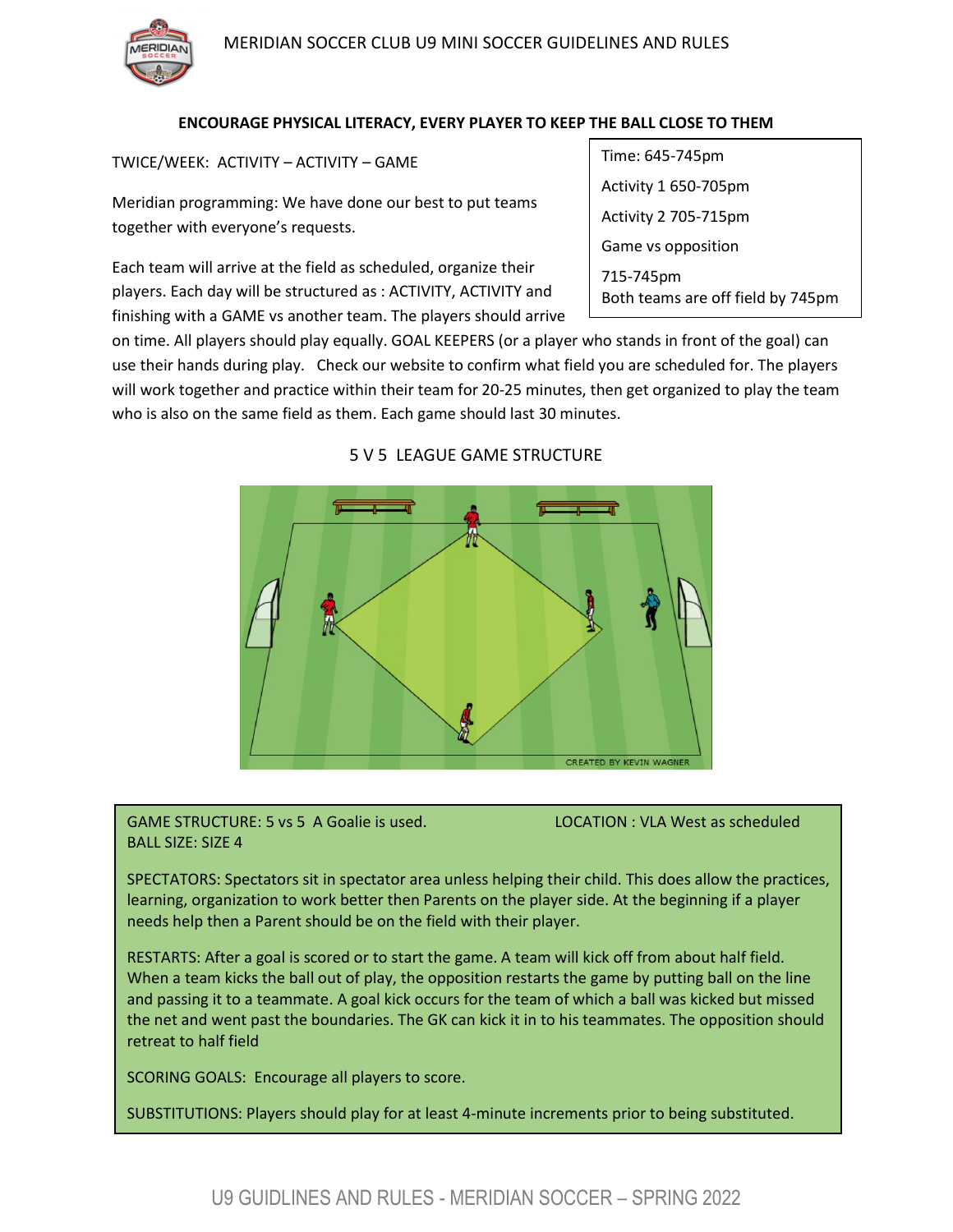



## **ENCOURAGE PHYSICAL LITERACY, EVERY PLAYER TO KEEP THE BALL CLOSE TO THEM**

### TWICE/WEEK: ACTIVITY – ACTIVITY – GAME

Meridian programming: We have done our best to put teams together with everyone's requests.

Each team will arrive at the field as scheduled, organize their players. Each day will be structured as : ACTIVITY, ACTIVITY and finishing with a GAME vs another team. The players should arrive

| Time: 645-745pm                                |
|------------------------------------------------|
| Activity 1 650-705pm                           |
| Activity 2 705-715pm                           |
| Game vs opposition                             |
| 715-745pm<br>Both teams are off field by 745pm |

on time. All players should play equally. GOAL KEEPERS (or a player who stands in front of the goal) can use their hands during play. Check our website to confirm what field you are scheduled for. The players will work together and practice within their team for 20-25 minutes, then get organized to play the team who is also on the same field as them. Each game should last 30 minutes.



# 5 V 5 LEAGUE GAME STRUCTURE

GAME STRUCTURE: 5 vs 5 A Goalie is used. LOCATION : VLA West as scheduled BALL SIZE: SIZE 4

SPECTATORS: Spectators sit in spectator area unless helping their child. This does allow the practices, learning, organization to work better then Parents on the player side. At the beginning if a player

RESTARTS: After a goal is scored or to start the game. A team will kick off from about half field. When a team kicks the ball out of play, the opposition restarts the game by putting ball on the line and passing it to a teammate. A goal kick occurs for the team of which a ball was kicked but missed the net and went past the boundaries. The GK can kick it in to his teammates. The opposition should retreat to half field

**MERIDIAN SOCIETY SOCIETY IS A SOCIETY OF SOCIAL SOCIETY AND THE CONTINUES CONTINUES** 

needs help then a Parent should be on the field with their player.

SUBSTITUTIONS: Players should play for at least 4-minute increments prior to being substituted.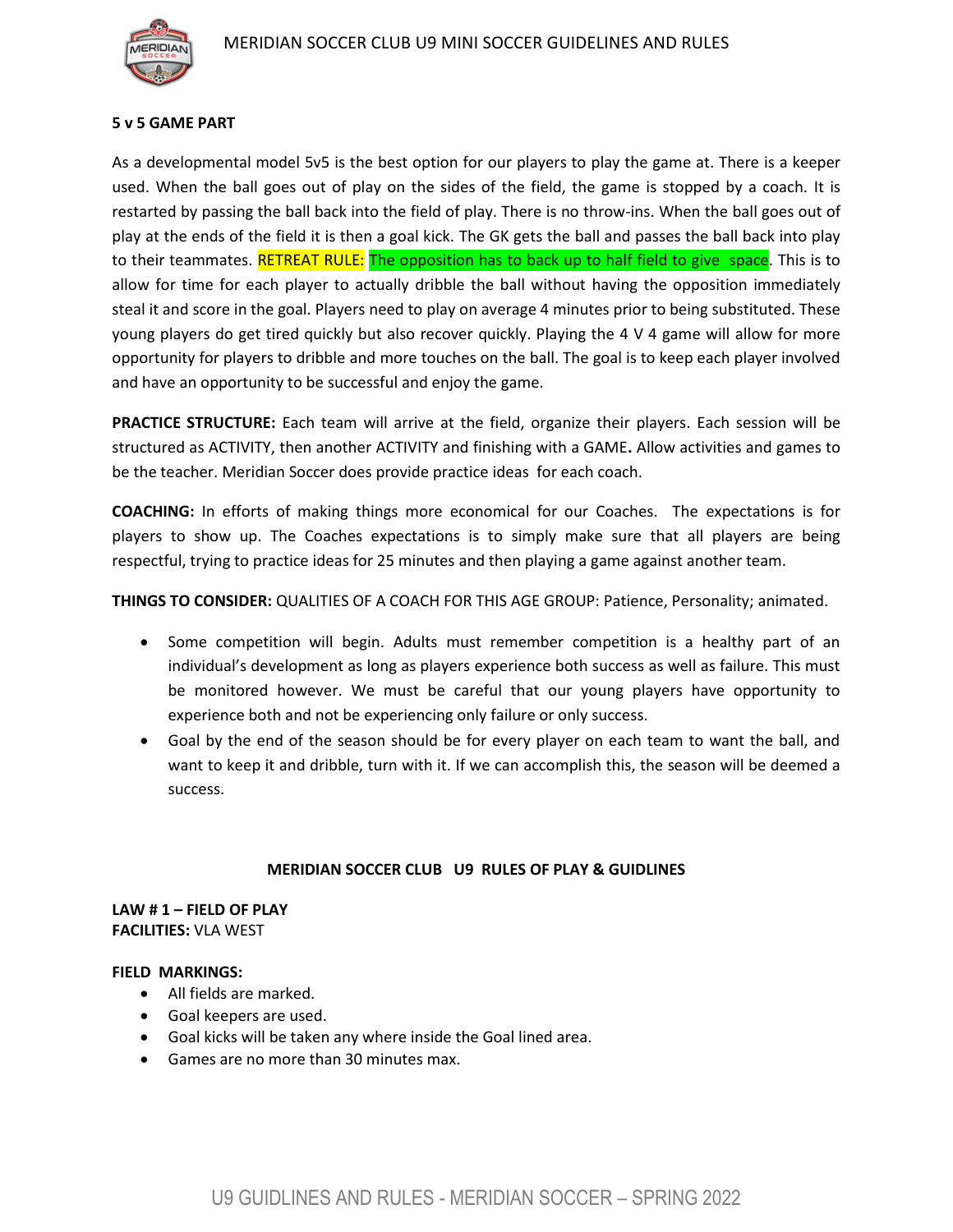

#### **5 v 5 GAME PART**

As a developmental model 5v5 is the best option for our players to play the game at. There is a keeper used. When the ball goes out of play on the sides of the field, the game is stopped by a coach. It is restarted by passing the ball back into the field of play. There is no throw-ins. When the ball goes out of play at the ends of the field it is then a goal kick. The GK gets the ball and passes the ball back into play to their teammates. RETREAT RULE: The opposition has to back up to half field to give space. This is to allow for time for each player to actually dribble the ball without having the opposition immediately steal it and score in the goal. Players need to play on average 4 minutes prior to being substituted. These young players do get tired quickly but also recover quickly. Playing the 4 V 4 game will allow for more opportunity for players to dribble and more touches on the ball. The goal is to keep each player involved and have an opportunity to be successful and enjoy the game.

**PRACTICE STRUCTURE:** Each team will arrive at the field, organize their players. Each session will be structured as ACTIVITY, then another ACTIVITY and finishing with a GAME**.** Allow activities and games to be the teacher. Meridian Soccer does provide practice ideas for each coach.

**COACHING:** In efforts of making things more economical for our Coaches. The expectations is for players to show up. The Coaches expectations is to simply make sure that all players are being respectful, trying to practice ideas for 25 minutes and then playing a game against another team.

**THINGS TO CONSIDER:** QUALITIES OF A COACH FOR THIS AGE GROUP: Patience, Personality; animated.

- Some competition will begin. Adults must remember competition is a healthy part of an individual's development as long as players experience both success as well as failure. This must be monitored however. We must be careful that our young players have opportunity to experience both and not be experiencing only failure or only success.
- Goal by the end of the season should be for every player on each team to want the ball, and want to keep it and dribble, turn with it. If we can accomplish this, the season will be deemed a success.

#### **MERIDIAN SOCCER CLUB U9 RULES OF PLAY & GUIDLINES**

**LAW # 1 – FIELD OF PLAY FACILITIES:** VLA WEST

#### **FIELD MARKINGS:**

- All fields are marked.
- Goal keepers are used.
- Goal kicks will be taken any where inside the Goal lined area.
- Games are no more than 30 minutes max.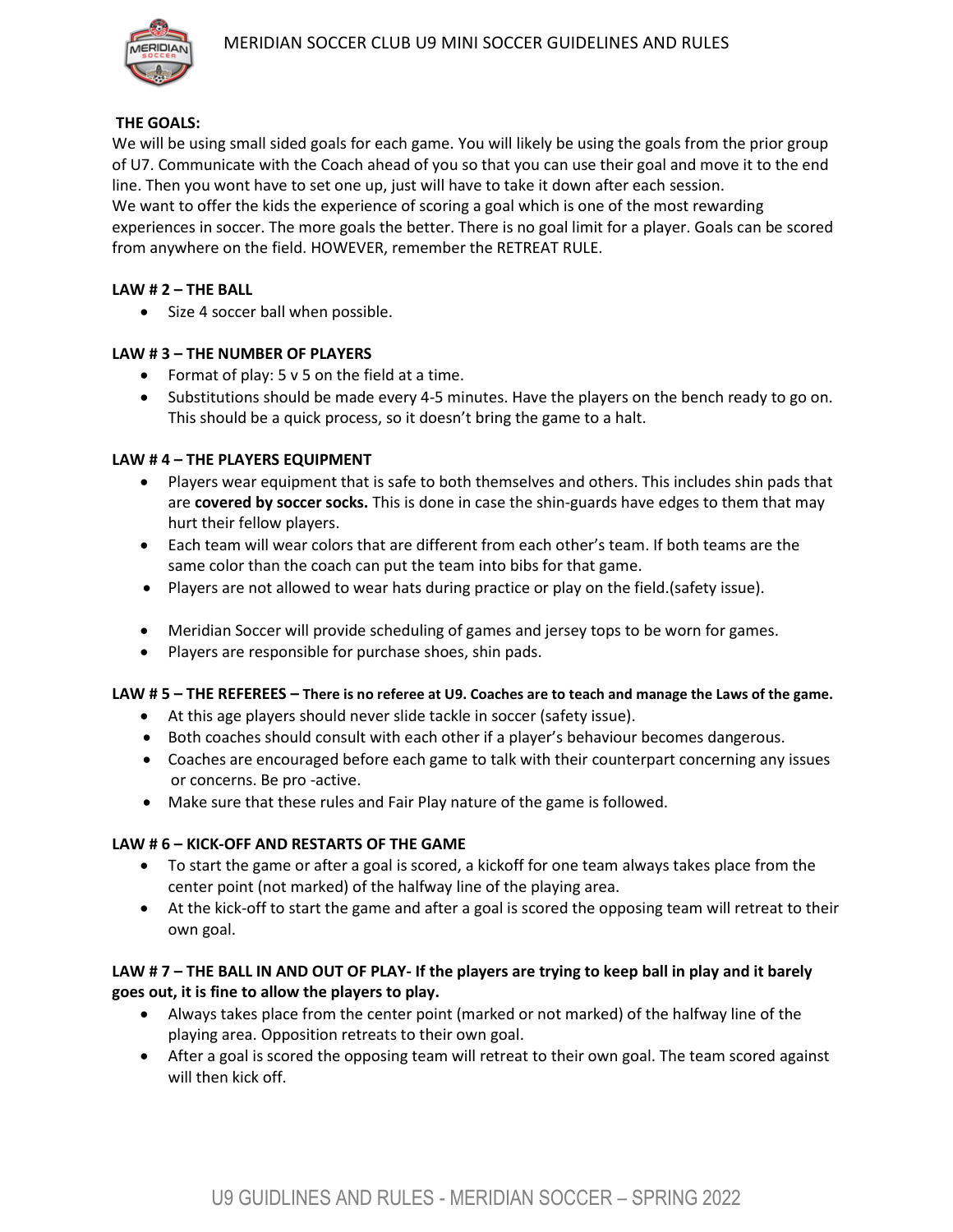#### **THE GOALS:**

We will be using small sided goals for each game. You will likely be using the goals from the prior group of U7. Communicate with the Coach ahead of you so that you can use their goal and move it to the end line. Then you wont have to set one up, just will have to take it down after each session.

We want to offer the kids the experience of scoring a goal which is one of the most rewarding experiences in soccer. The more goals the better. There is no goal limit for a player. Goals can be scored from anywhere on the field. HOWEVER, remember the RETREAT RULE.

#### **LAW # 2 – THE BALL**

• Size 4 soccer ball when possible.

#### **LAW # 3 – THE NUMBER OF PLAYERS**

- Format of play: 5 v 5 on the field at a time.
- Substitutions should be made every 4-5 minutes. Have the players on the bench ready to go on. This should be a quick process, so it doesn't bring the game to a halt.

#### **LAW # 4 – THE PLAYERS EQUIPMENT**

- Players wear equipment that is safe to both themselves and others. This includes shin pads that are **covered by soccer socks.** This is done in case the shin-guards have edges to them that may hurt their fellow players.
- Each team will wear colors that are different from each other's team. If both teams are the same color than the coach can put the team into bibs for that game.
- Players are not allowed to wear hats during practice or play on the field.(safety issue).
- Meridian Soccer will provide scheduling of games and jersey tops to be worn for games.
- Players are responsible for purchase shoes, shin pads.

#### **LAW # 5 – THE REFEREES – There is no referee at U9. Coaches are to teach and manage the Laws of the game.**

- At this age players should never slide tackle in soccer (safety issue).
- Both coaches should consult with each other if a player's behaviour becomes dangerous.
- Coaches are encouraged before each game to talk with their counterpart concerning any issues or concerns. Be pro -active.
- Make sure that these rules and Fair Play nature of the game is followed.

#### **LAW # 6 – KICK-OFF AND RESTARTS OF THE GAME**

- To start the game or after a goal is scored, a kickoff for one team always takes place from the center point (not marked) of the halfway line of the playing area.
- At the kick-off to start the game and after a goal is scored the opposing team will retreat to their own goal.

## **LAW # 7 – THE BALL IN AND OUT OF PLAY- If the players are trying to keep ball in play and it barely goes out, it is fine to allow the players to play.**

- Always takes place from the center point (marked or not marked) of the halfway line of the playing area. Opposition retreats to their own goal.
- After a goal is scored the opposing team will retreat to their own goal. The team scored against will then kick off.